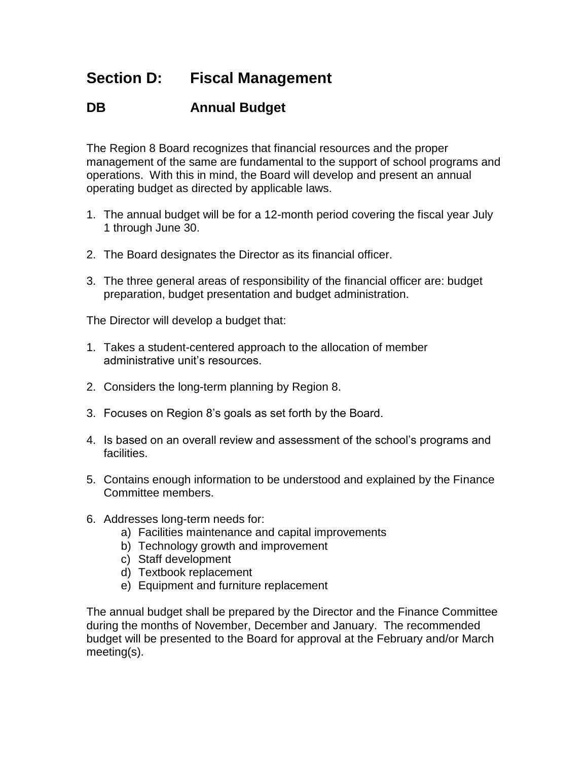## **Section D: Fiscal Management**

## **DB Annual Budget**

The Region 8 Board recognizes that financial resources and the proper management of the same are fundamental to the support of school programs and operations. With this in mind, the Board will develop and present an annual operating budget as directed by applicable laws.

- 1. The annual budget will be for a 12-month period covering the fiscal year July 1 through June 30.
- 2. The Board designates the Director as its financial officer.
- 3. The three general areas of responsibility of the financial officer are: budget preparation, budget presentation and budget administration.

The Director will develop a budget that:

- 1. Takes a student-centered approach to the allocation of member administrative unit's resources.
- 2. Considers the long-term planning by Region 8.
- 3. Focuses on Region 8's goals as set forth by the Board.
- 4. Is based on an overall review and assessment of the school's programs and facilities.
- 5. Contains enough information to be understood and explained by the Finance Committee members.
- 6. Addresses long-term needs for:
	- a) Facilities maintenance and capital improvements
	- b) Technology growth and improvement
	- c) Staff development
	- d) Textbook replacement
	- e) Equipment and furniture replacement

The annual budget shall be prepared by the Director and the Finance Committee during the months of November, December and January. The recommended budget will be presented to the Board for approval at the February and/or March meeting(s).